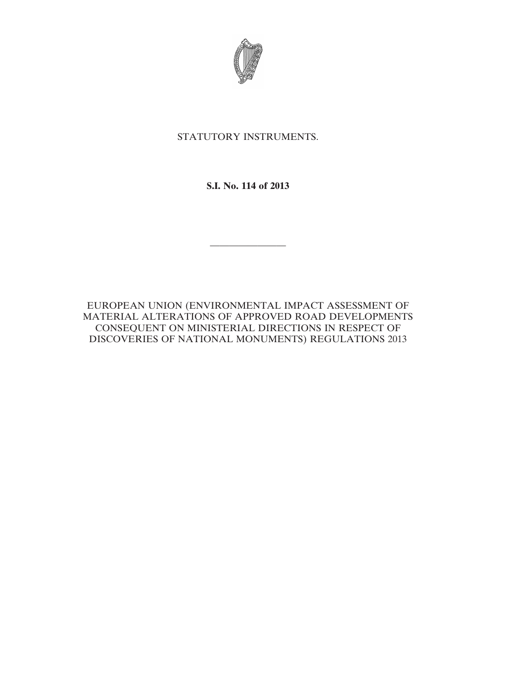

STATUTORY INSTRUMENTS.

**S.I. No. 114 of 2013**

————————

EUROPEAN UNION (ENVIRONMENTAL IMPACT ASSESSMENT OF MATERIAL ALTERATIONS OF APPROVED ROAD DEVELOPMENTS CONSEQUENT ON MINISTERIAL DIRECTIONS IN RESPECT OF DISCOVERIES OF NATIONAL MONUMENTS) REGULATIONS 2013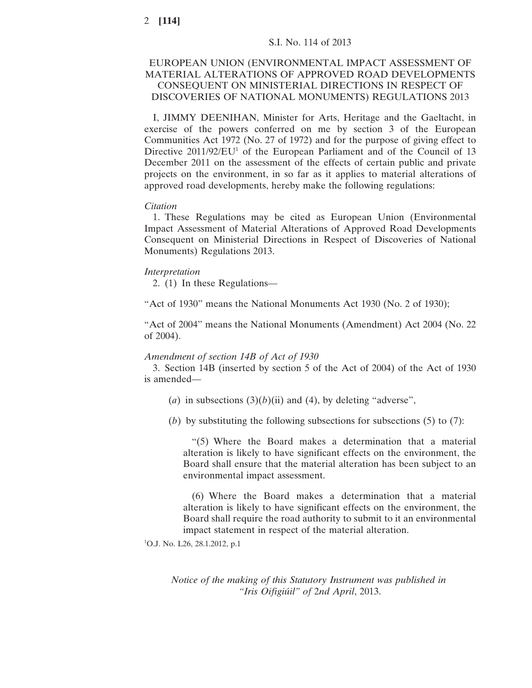# S.I. No. 114 of 2013

# EUROPEAN UNION (ENVIRONMENTAL IMPACT ASSESSMENT OF MATERIAL ALTERATIONS OF APPROVED ROAD DEVELOPMENTS CONSEQUENT ON MINISTERIAL DIRECTIONS IN RESPECT OF DISCOVERIES OF NATIONAL MONUMENTS) REGULATIONS 2013

I, JIMMY DEENIHAN, Minister for Arts, Heritage and the Gaeltacht, in exercise of the powers conferred on me by section 3 of the European Communities Act 1972 (No. 27 of 1972) and for the purpose of giving effect to Directive  $2011/92/EU^1$  of the European Parliament and of the Council of 13 December 2011 on the assessment of the effects of certain public and private projects on the environment, in so far as it applies to material alterations of approved road developments, hereby make the following regulations:

#### *Citation*

1. These Regulations may be cited as European Union (Environmental Impact Assessment of Material Alterations of Approved Road Developments Consequent on Ministerial Directions in Respect of Discoveries of National Monuments) Regulations 2013.

#### *Interpretation*

2. (1) In these Regulations—

"Act of 1930" means the National Monuments Act 1930 (No. 2 of 1930);

"Act of 2004" means the National Monuments (Amendment) Act 2004 (No. 22 of 2004).

#### *Amendment of section 14B of Act of 1930*

3. Section 14B (inserted by section 5 of the Act of 2004) of the Act of 1930 is amended—

- (*a*) in subsections  $(3)(b)(ii)$  and  $(4)$ , by deleting "adverse",
- (*b*) by substituting the following subsections for subsections (5) to (7):

"(5) Where the Board makes a determination that a material alteration is likely to have significant effects on the environment, the Board shall ensure that the material alteration has been subject to an environmental impact assessment.

(6) Where the Board makes a determination that a material alteration is likely to have significant effects on the environment, the Board shall require the road authority to submit to it an environmental impact statement in respect of the material alteration.

1 O.J. No. L26, 28.1.2012, p.1

*Notice of the making of this Statutory Instrument was published in "Iris Oifigiúil" of* 2*nd April*, 2013.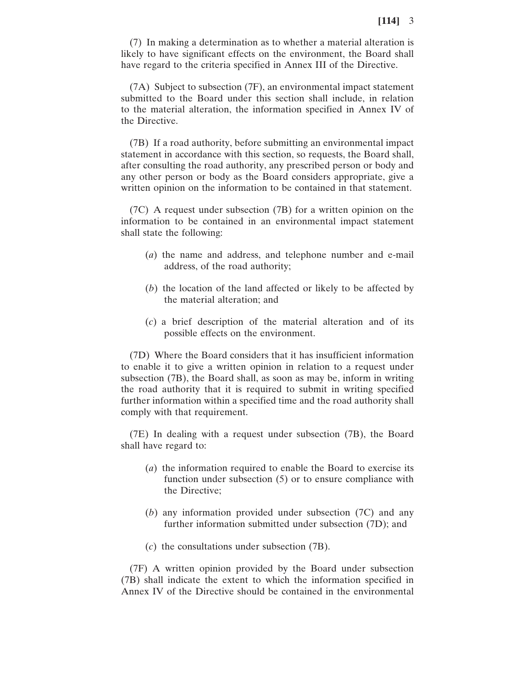(7) In making a determination as to whether a material alteration is likely to have significant effects on the environment, the Board shall have regard to the criteria specified in Annex III of the Directive.

(7A) Subject to subsection (7F), an environmental impact statement submitted to the Board under this section shall include, in relation to the material alteration, the information specified in Annex IV of the Directive.

(7B) If a road authority, before submitting an environmental impact statement in accordance with this section, so requests, the Board shall, after consulting the road authority, any prescribed person or body and any other person or body as the Board considers appropriate, give a written opinion on the information to be contained in that statement.

(7C) A request under subsection (7B) for a written opinion on the information to be contained in an environmental impact statement shall state the following:

- (*a*) the name and address, and telephone number and e-mail address, of the road authority;
- (*b*) the location of the land affected or likely to be affected by the material alteration; and
- (*c*) a brief description of the material alteration and of its possible effects on the environment.

(7D) Where the Board considers that it has insufficient information to enable it to give a written opinion in relation to a request under subsection (7B), the Board shall, as soon as may be, inform in writing the road authority that it is required to submit in writing specified further information within a specified time and the road authority shall comply with that requirement.

(7E) In dealing with a request under subsection (7B), the Board shall have regard to:

- (*a*) the information required to enable the Board to exercise its function under subsection (5) or to ensure compliance with the Directive;
- (*b*) any information provided under subsection (7C) and any further information submitted under subsection (7D); and
- (*c*) the consultations under subsection (7B).

(7F) A written opinion provided by the Board under subsection (7B) shall indicate the extent to which the information specified in Annex IV of the Directive should be contained in the environmental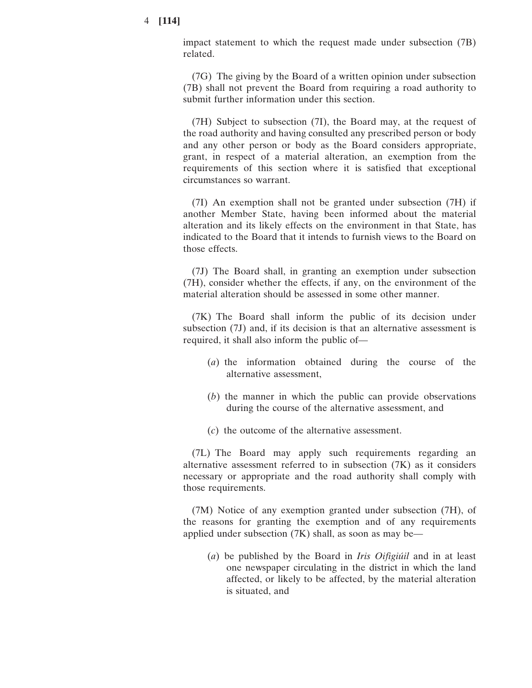impact statement to which the request made under subsection (7B) related.

(7G) The giving by the Board of a written opinion under subsection (7B) shall not prevent the Board from requiring a road authority to submit further information under this section.

(7H) Subject to subsection (7I), the Board may, at the request of the road authority and having consulted any prescribed person or body and any other person or body as the Board considers appropriate, grant, in respect of a material alteration, an exemption from the requirements of this section where it is satisfied that exceptional circumstances so warrant.

(7I) An exemption shall not be granted under subsection (7H) if another Member State, having been informed about the material alteration and its likely effects on the environment in that State, has indicated to the Board that it intends to furnish views to the Board on those effects.

(7J) The Board shall, in granting an exemption under subsection (7H), consider whether the effects, if any, on the environment of the material alteration should be assessed in some other manner.

(7K) The Board shall inform the public of its decision under subsection (7J) and, if its decision is that an alternative assessment is required, it shall also inform the public of—

- (*a*) the information obtained during the course of the alternative assessment,
- (*b*) the manner in which the public can provide observations during the course of the alternative assessment, and
- (*c*) the outcome of the alternative assessment.

(7L) The Board may apply such requirements regarding an alternative assessment referred to in subsection (7K) as it considers necessary or appropriate and the road authority shall comply with those requirements.

(7M) Notice of any exemption granted under subsection (7H), of the reasons for granting the exemption and of any requirements applied under subsection (7K) shall, as soon as may be—

(*a*) be published by the Board in *Iris Oifigiúil* and in at least one newspaper circulating in the district in which the land affected, or likely to be affected, by the material alteration is situated, and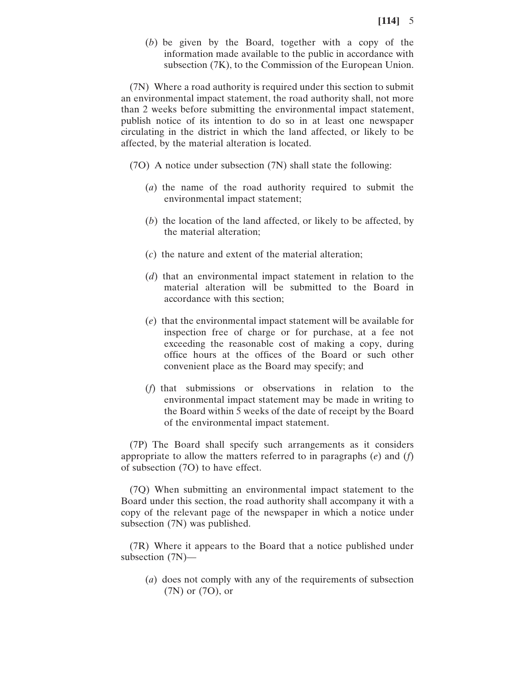(*b*) be given by the Board, together with a copy of the information made available to the public in accordance with subsection (7K), to the Commission of the European Union.

(7N) Where a road authority is required under this section to submit an environmental impact statement, the road authority shall, not more than 2 weeks before submitting the environmental impact statement, publish notice of its intention to do so in at least one newspaper circulating in the district in which the land affected, or likely to be affected, by the material alteration is located.

(7O) A notice under subsection (7N) shall state the following:

- (*a*) the name of the road authority required to submit the environmental impact statement;
- (*b*) the location of the land affected, or likely to be affected, by the material alteration;
- (*c*) the nature and extent of the material alteration;
- (*d*) that an environmental impact statement in relation to the material alteration will be submitted to the Board in accordance with this section;
- (*e*) that the environmental impact statement will be available for inspection free of charge or for purchase, at a fee not exceeding the reasonable cost of making a copy, during office hours at the offices of the Board or such other convenient place as the Board may specify; and
- (*f*) that submissions or observations in relation to the environmental impact statement may be made in writing to the Board within 5 weeks of the date of receipt by the Board of the environmental impact statement.

(7P) The Board shall specify such arrangements as it considers appropriate to allow the matters referred to in paragraphs (*e*) and (*f*) of subsection (7O) to have effect.

(7Q) When submitting an environmental impact statement to the Board under this section, the road authority shall accompany it with a copy of the relevant page of the newspaper in which a notice under subsection (7N) was published.

(7R) Where it appears to the Board that a notice published under subsection (7N)—

(*a*) does not comply with any of the requirements of subsection (7N) or (7O), or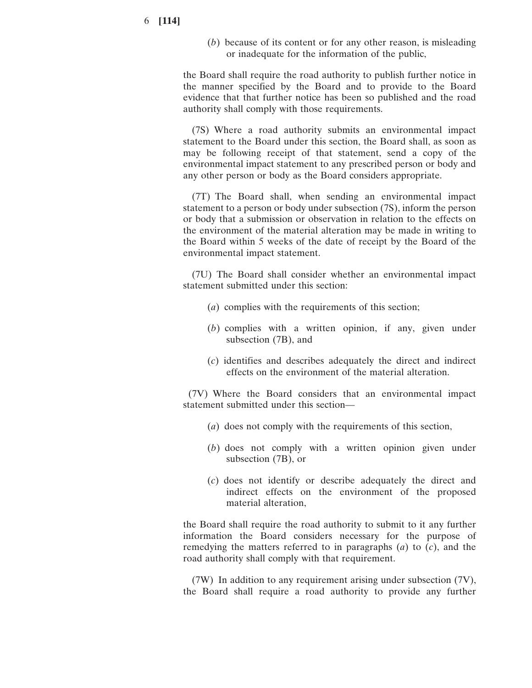(*b*) because of its content or for any other reason, is misleading or inadequate for the information of the public,

the Board shall require the road authority to publish further notice in the manner specified by the Board and to provide to the Board evidence that that further notice has been so published and the road authority shall comply with those requirements.

(7S) Where a road authority submits an environmental impact statement to the Board under this section, the Board shall, as soon as may be following receipt of that statement, send a copy of the environmental impact statement to any prescribed person or body and any other person or body as the Board considers appropriate.

(7T) The Board shall, when sending an environmental impact statement to a person or body under subsection (7S), inform the person or body that a submission or observation in relation to the effects on the environment of the material alteration may be made in writing to the Board within 5 weeks of the date of receipt by the Board of the environmental impact statement.

(7U) The Board shall consider whether an environmental impact statement submitted under this section:

- (*a*) complies with the requirements of this section;
- (*b*) complies with a written opinion, if any, given under subsection (7B), and
- (*c*) identifies and describes adequately the direct and indirect effects on the environment of the material alteration.

(7V) Where the Board considers that an environmental impact statement submitted under this section—

- (*a*) does not comply with the requirements of this section,
- (*b*) does not comply with a written opinion given under subsection (7B), or
- (*c*) does not identify or describe adequately the direct and indirect effects on the environment of the proposed material alteration,

the Board shall require the road authority to submit to it any further information the Board considers necessary for the purpose of remedying the matters referred to in paragraphs (*a*) to (*c*), and the road authority shall comply with that requirement.

(7W) In addition to any requirement arising under subsection (7V), the Board shall require a road authority to provide any further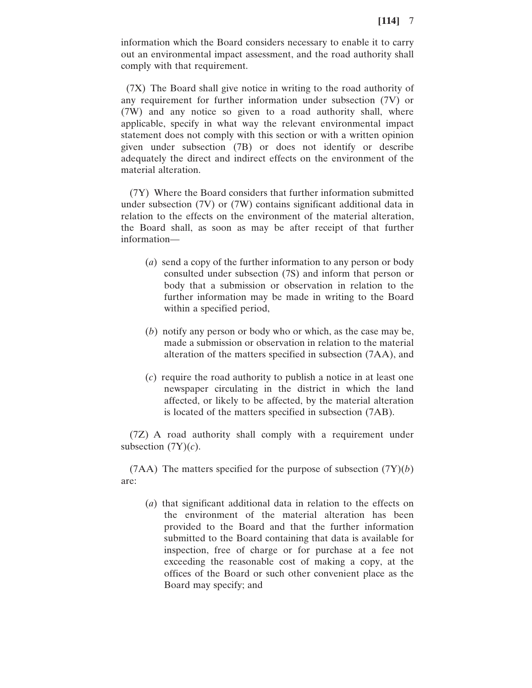information which the Board considers necessary to enable it to carry out an environmental impact assessment, and the road authority shall comply with that requirement.

(7X) The Board shall give notice in writing to the road authority of any requirement for further information under subsection (7V) or (7W) and any notice so given to a road authority shall, where applicable, specify in what way the relevant environmental impact statement does not comply with this section or with a written opinion given under subsection (7B) or does not identify or describe adequately the direct and indirect effects on the environment of the material alteration.

(7Y) Where the Board considers that further information submitted under subsection (7V) or (7W) contains significant additional data in relation to the effects on the environment of the material alteration, the Board shall, as soon as may be after receipt of that further information—

- (*a*) send a copy of the further information to any person or body consulted under subsection (7S) and inform that person or body that a submission or observation in relation to the further information may be made in writing to the Board within a specified period,
- (*b*) notify any person or body who or which, as the case may be, made a submission or observation in relation to the material alteration of the matters specified in subsection (7AA), and
- (*c*) require the road authority to publish a notice in at least one newspaper circulating in the district in which the land affected, or likely to be affected, by the material alteration is located of the matters specified in subsection (7AB).

(7Z) A road authority shall comply with a requirement under subsection  $(TY)(c)$ .

(7AA) The matters specified for the purpose of subsection (7Y)(*b*) are:

(*a*) that significant additional data in relation to the effects on the environment of the material alteration has been provided to the Board and that the further information submitted to the Board containing that data is available for inspection, free of charge or for purchase at a fee not exceeding the reasonable cost of making a copy, at the offices of the Board or such other convenient place as the Board may specify; and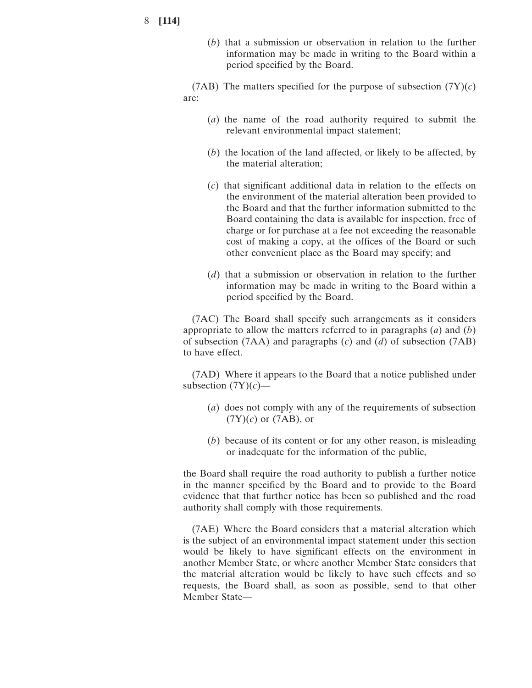(*b*) that a submission or observation in relation to the further information may be made in writing to the Board within a period specified by the Board.

(7AB) The matters specified for the purpose of subsection  $(TY)(c)$ are:

- (*a*) the name of the road authority required to submit the relevant environmental impact statement;
- (*b*) the location of the land affected, or likely to be affected, by the material alteration;
- (*c*) that significant additional data in relation to the effects on the environment of the material alteration been provided to the Board and that the further information submitted to the Board containing the data is available for inspection, free of charge or for purchase at a fee not exceeding the reasonable cost of making a copy, at the offices of the Board or such other convenient place as the Board may specify; and
- (*d*) that a submission or observation in relation to the further information may be made in writing to the Board within a period specified by the Board.

(7AC) The Board shall specify such arrangements as it considers appropriate to allow the matters referred to in paragraphs (*a*) and (*b*) of subsection (7AA) and paragraphs (*c*) and (*d*) of subsection (7AB) to have effect.

(7AD) Where it appears to the Board that a notice published under subsection  $(TY)(c)$ —

- (*a*) does not comply with any of the requirements of subsection (7Y)(*c*) or (7AB), or
- (*b*) because of its content or for any other reason, is misleading or inadequate for the information of the public,

the Board shall require the road authority to publish a further notice in the manner specified by the Board and to provide to the Board evidence that that further notice has been so published and the road authority shall comply with those requirements.

(7AE) Where the Board considers that a material alteration which is the subject of an environmental impact statement under this section would be likely to have significant effects on the environment in another Member State, or where another Member State considers that the material alteration would be likely to have such effects and so requests, the Board shall, as soon as possible, send to that other Member State—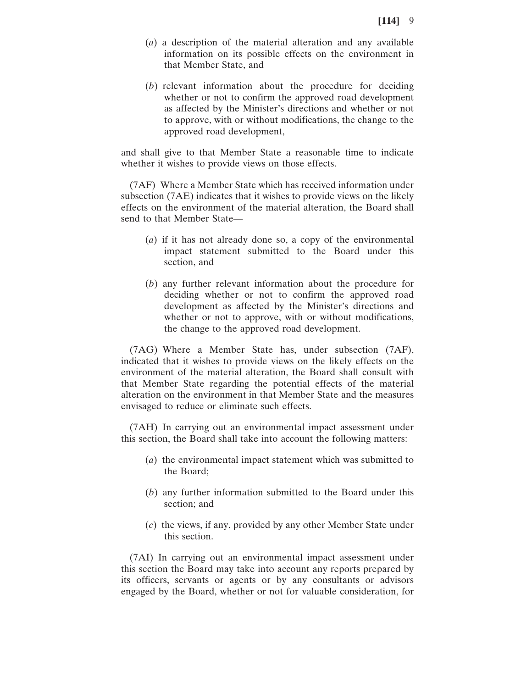- (*a*) a description of the material alteration and any available information on its possible effects on the environment in that Member State, and
- (*b*) relevant information about the procedure for deciding whether or not to confirm the approved road development as affected by the Minister's directions and whether or not to approve, with or without modifications, the change to the approved road development,

and shall give to that Member State a reasonable time to indicate whether it wishes to provide views on those effects.

(7AF) Where a Member State which has received information under subsection (7AE) indicates that it wishes to provide views on the likely effects on the environment of the material alteration, the Board shall send to that Member State—

- (*a*) if it has not already done so, a copy of the environmental impact statement submitted to the Board under this section, and
- (*b*) any further relevant information about the procedure for deciding whether or not to confirm the approved road development as affected by the Minister's directions and whether or not to approve, with or without modifications, the change to the approved road development.

(7AG) Where a Member State has, under subsection (7AF), indicated that it wishes to provide views on the likely effects on the environment of the material alteration, the Board shall consult with that Member State regarding the potential effects of the material alteration on the environment in that Member State and the measures envisaged to reduce or eliminate such effects.

(7AH) In carrying out an environmental impact assessment under this section, the Board shall take into account the following matters:

- (*a*) the environmental impact statement which was submitted to the Board;
- (*b*) any further information submitted to the Board under this section; and
- (*c*) the views, if any, provided by any other Member State under this section.

(7AI) In carrying out an environmental impact assessment under this section the Board may take into account any reports prepared by its officers, servants or agents or by any consultants or advisors engaged by the Board, whether or not for valuable consideration, for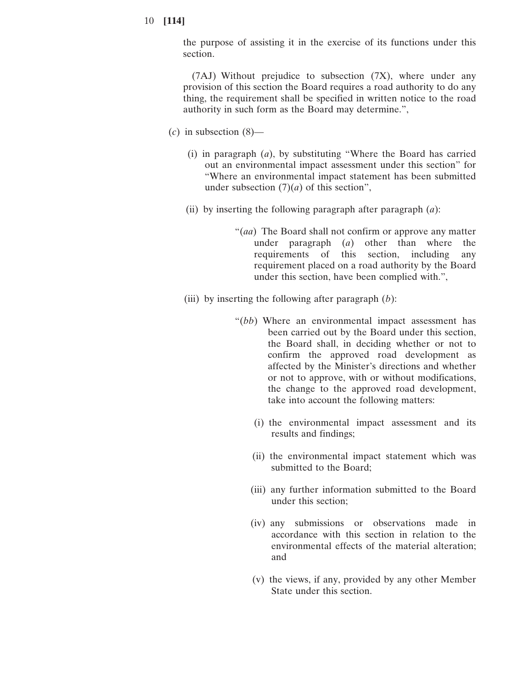the purpose of assisting it in the exercise of its functions under this section.

(7AJ) Without prejudice to subsection (7X), where under any provision of this section the Board requires a road authority to do any thing, the requirement shall be specified in written notice to the road authority in such form as the Board may determine.",

- (*c*) in subsection (8)—
	- (i) in paragraph (*a*), by substituting "Where the Board has carried out an environmental impact assessment under this section" for "Where an environmental impact statement has been submitted under subsection  $(7)(a)$  of this section",
	- (ii) by inserting the following paragraph after paragraph (*a*):
		- "(*aa*) The Board shall not confirm or approve any matter under paragraph (*a*) other than where the requirements of this section, including any requirement placed on a road authority by the Board under this section, have been complied with.",
	- (iii) by inserting the following after paragraph (*b*):
		- "(*bb*) Where an environmental impact assessment has been carried out by the Board under this section, the Board shall, in deciding whether or not to confirm the approved road development as affected by the Minister's directions and whether or not to approve, with or without modifications, the change to the approved road development, take into account the following matters:
			- (i) the environmental impact assessment and its results and findings;
			- (ii) the environmental impact statement which was submitted to the Board;
			- (iii) any further information submitted to the Board under this section;
			- (iv) any submissions or observations made in accordance with this section in relation to the environmental effects of the material alteration; and
			- (v) the views, if any, provided by any other Member State under this section.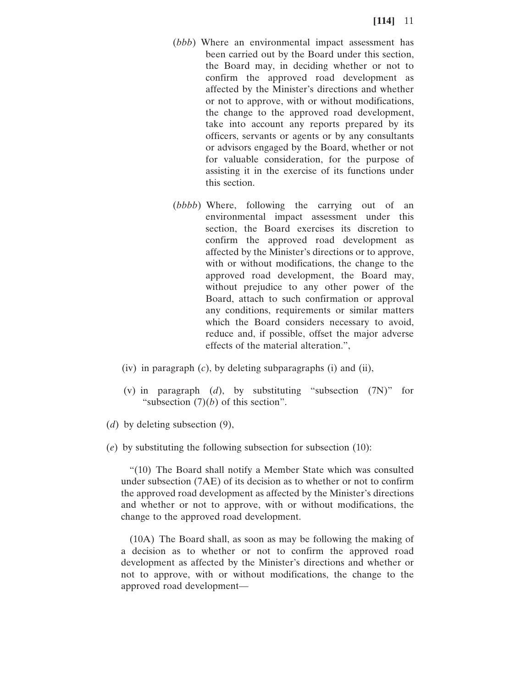- (*bbb*) Where an environmental impact assessment has been carried out by the Board under this section, the Board may, in deciding whether or not to confirm the approved road development as affected by the Minister's directions and whether or not to approve, with or without modifications, the change to the approved road development, take into account any reports prepared by its officers, servants or agents or by any consultants or advisors engaged by the Board, whether or not for valuable consideration, for the purpose of assisting it in the exercise of its functions under this section.
- (*bbbb*) Where, following the carrying out of an environmental impact assessment under this section, the Board exercises its discretion to confirm the approved road development as affected by the Minister's directions or to approve, with or without modifications, the change to the approved road development, the Board may, without prejudice to any other power of the Board, attach to such confirmation or approval any conditions, requirements or similar matters which the Board considers necessary to avoid, reduce and, if possible, offset the major adverse effects of the material alteration.",
- (iv) in paragraph (*c*), by deleting subparagraphs (i) and (ii),
- (v) in paragraph (*d*), by substituting "subsection (7N)" for "subsection  $(7)(b)$  of this section".
- (*d*) by deleting subsection (9),
- (*e*) by substituting the following subsection for subsection (10):

"(10) The Board shall notify a Member State which was consulted under subsection (7AE) of its decision as to whether or not to confirm the approved road development as affected by the Minister's directions and whether or not to approve, with or without modifications, the change to the approved road development.

(10A) The Board shall, as soon as may be following the making of a decision as to whether or not to confirm the approved road development as affected by the Minister's directions and whether or not to approve, with or without modifications, the change to the approved road development—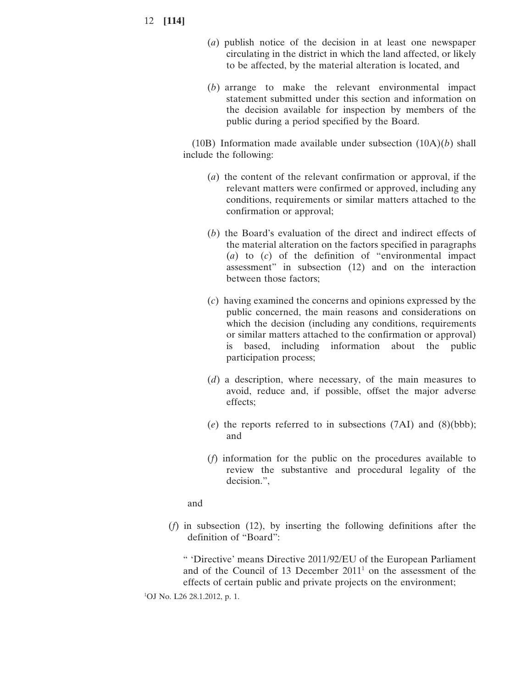- (*a*) publish notice of the decision in at least one newspaper circulating in the district in which the land affected, or likely to be affected, by the material alteration is located, and
- (*b*) arrange to make the relevant environmental impact statement submitted under this section and information on the decision available for inspection by members of the public during a period specified by the Board.

(10B) Information made available under subsection (10A)(*b*) shall include the following:

- (*a*) the content of the relevant confirmation or approval, if the relevant matters were confirmed or approved, including any conditions, requirements or similar matters attached to the confirmation or approval;
- (*b*) the Board's evaluation of the direct and indirect effects of the material alteration on the factors specified in paragraphs (*a*) to (*c*) of the definition of "environmental impact assessment" in subsection (12) and on the interaction between those factors;
- (*c*) having examined the concerns and opinions expressed by the public concerned, the main reasons and considerations on which the decision (including any conditions, requirements or similar matters attached to the confirmation or approval) based, including information about the public participation process;
- (*d*) a description, where necessary, of the main measures to avoid, reduce and, if possible, offset the major adverse effects;
- (*e*) the reports referred to in subsections (7AI) and (8)(bbb); and
- (*f*) information for the public on the procedures available to review the substantive and procedural legality of the decision.",

and

(*f*) in subsection (12), by inserting the following definitions after the definition of "Board":

" 'Directive' means Directive 2011/92/EU of the European Parliament and of the Council of 13 December  $2011<sup>1</sup>$  on the assessment of the effects of certain public and private projects on the environment;

1 OJ No. L26 28.1.2012, p. 1.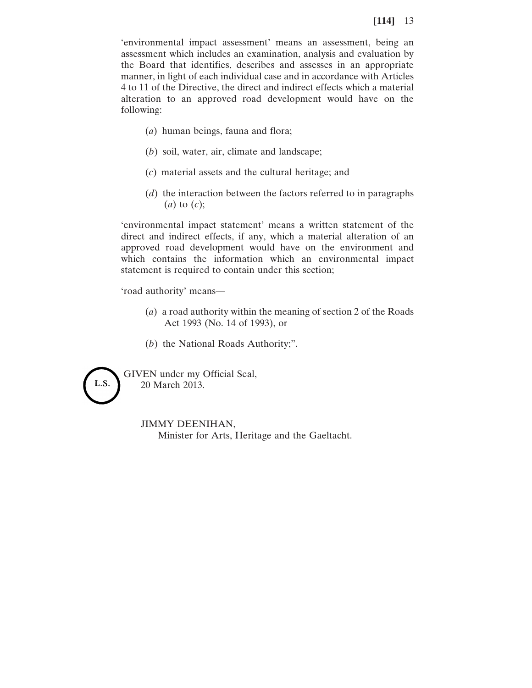'environmental impact assessment' means an assessment, being an assessment which includes an examination, analysis and evaluation by the Board that identifies, describes and assesses in an appropriate manner, in light of each individual case and in accordance with Articles 4 to 11 of the Directive, the direct and indirect effects which a material alteration to an approved road development would have on the following:

- (*a*) human beings, fauna and flora;
- (*b*) soil, water, air, climate and landscape;
- (*c*) material assets and the cultural heritage; and
- (*d*) the interaction between the factors referred to in paragraphs (*a*) to (*c*);

'environmental impact statement' means a written statement of the direct and indirect effects, if any, which a material alteration of an approved road development would have on the environment and which contains the information which an environmental impact statement is required to contain under this section;

'road authority' means—

- (*a*) a road authority within the meaning of section 2 of the Roads Act 1993 (No. 14 of 1993), or
- (*b*) the National Roads Authority;".



GIVEN under my Official Seal, 20 March 2013.

#### JIMMY DEENIHAN,

Minister for Arts, Heritage and the Gaeltacht.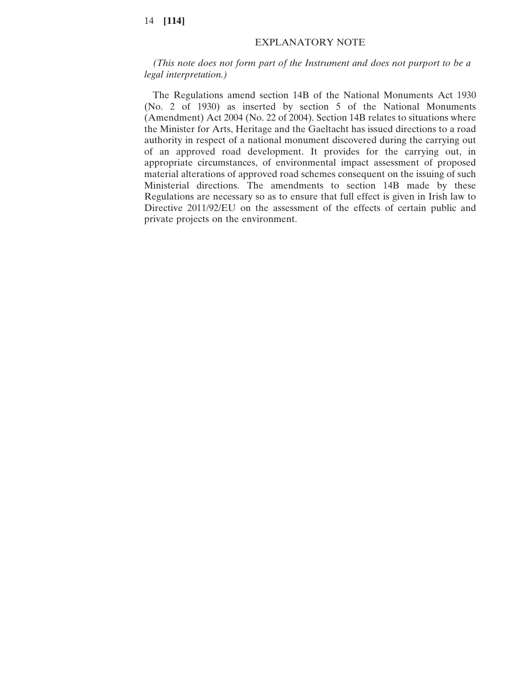# EXPLANATORY NOTE

*(This note does not form part of the Instrument and does not purport to be a legal interpretation.)*

The Regulations amend section 14B of the National Monuments Act 1930 (No. 2 of 1930) as inserted by section 5 of the National Monuments (Amendment) Act 2004 (No. 22 of 2004). Section 14B relates to situations where the Minister for Arts, Heritage and the Gaeltacht has issued directions to a road authority in respect of a national monument discovered during the carrying out of an approved road development. It provides for the carrying out, in appropriate circumstances, of environmental impact assessment of proposed material alterations of approved road schemes consequent on the issuing of such Ministerial directions. The amendments to section 14B made by these Regulations are necessary so as to ensure that full effect is given in Irish law to Directive 2011/92/EU on the assessment of the effects of certain public and private projects on the environment.